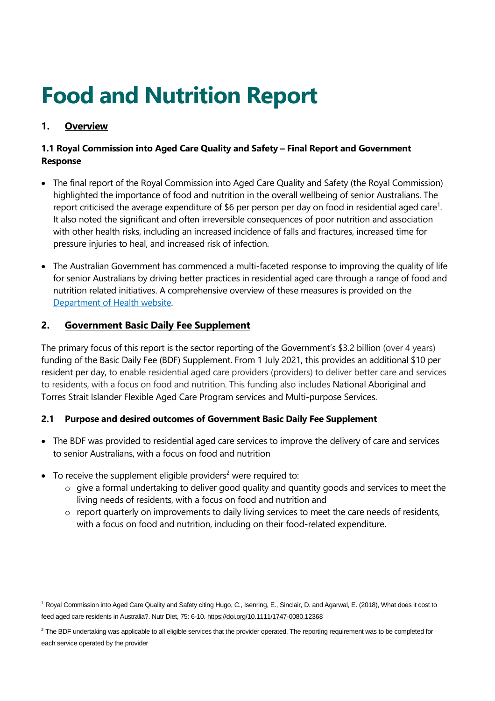# **Food and Nutrition Report**

# **1. Overview**

# **1.1 Royal Commission into Aged Care Quality and Safety – Final Report and Government Response**

- The final report of the Royal Commission into Aged Care Quality and Safety (the Royal Commission) highlighted the importance of food and nutrition in the overall wellbeing of senior Australians. The report criticised the average expenditure of \$6 per person per day on food in residential aged care<sup>1</sup>. It also noted the significant and often irreversible consequences of poor nutrition and association with other health risks, including an increased incidence of falls and fractures, increased time for pressure injuries to heal, and increased risk of infection.
- The Australian Government has commenced a multi-faceted response to improving the quality of life for senior Australians by driving better practices in residential aged care through a range of food and nutrition related initiatives. A comprehensive overview of these measures is provided on the Department of Health website.

## **2. Government Basic Daily Fee Supplement**

The primary focus of this report is the sector reporting of the Government's \$3.2 billion (over 4 years) funding of the Basic Daily Fee (BDF) Supplement. From 1 July 2021, this provides an additional \$10 per resident per day, to enable residential aged care providers (providers) to deliver better care and services to residents, with a focus on food and nutrition. This funding also includes National Aboriginal and Torres Strait Islander Flexible Aged Care Program services and Multi-purpose Services.

# **2.1 Purpose and desired outcomes of Government Basic Daily Fee Supplement**

- The BDF was provided to residential aged care services to improve the delivery of care and services to senior Australians, with a focus on food and nutrition
- To receive the supplement eligible providers<sup>2</sup> were required to:
	- o give a formal undertaking to deliver good quality and quantity goods and services to meet the living needs of residents, with a focus on food and nutrition and
	- $\circ$  report quarterly on improvements to daily living services to meet the care needs of residents, with a focus on food and nutrition, including on their food-related expenditure.

<sup>1</sup> Royal Commission into Aged Care Quality and Safety citing Hugo, C., Isenring, E., Sinclair, D. and Agarwal, E. (2018), What does it cost to feed aged care residents in Australia?. Nutr Diet, 75: 6-10. <https://doi.org/10.1111/1747-0080.12368>

<sup>&</sup>lt;sup>2</sup> The BDF undertaking was applicable to all eligible services that the provider operated. The reporting requirement was to be completed for each service operated by the provider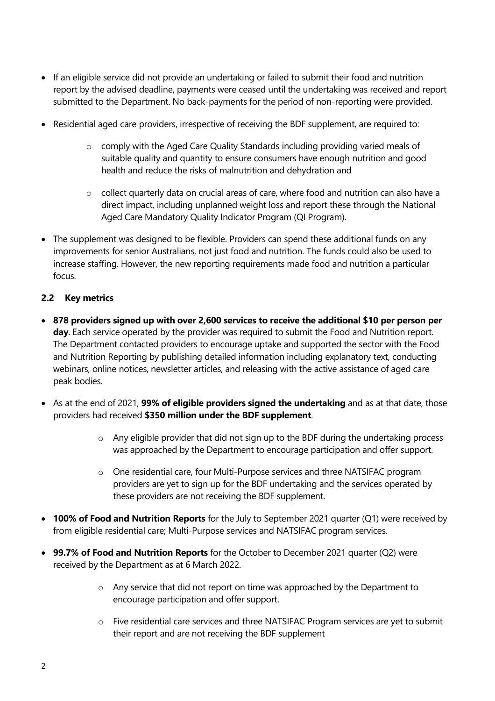- If an eligible service did not provide an undertaking or failed to submit their food and nutrition report by the advised deadline, payments were ceased until the undertaking was received and report submitted to the Department. No back-payments for the period of non-reporting were provided.
- Residential aged care providers, irrespective of receiving the BDF supplement, are required to:
	- o comply with the Aged Care Quality Standards including providing varied meals of suitable quality and quantity to ensure consumers have enough nutrition and good health and reduce the risks of malnutrition and dehydration and
	- o collect quarterly data on crucial areas of care, where food and nutrition can also have a direct impact, including unplanned weight loss and report these through the National Aged Care Mandatory Quality Indicator Program (QI Program).
- The supplement was designed to be flexible. Providers can spend these additional funds on any improvements for senior Australians, not just food and nutrition. The funds could also be used to increase staffing. However, the new reporting requirements made food and nutrition a particular focus.

#### **2.2 Key metrics**

- **878 providers signed up with over 2,600 services to receive the additional \$10 per person per day**. Each service operated by the provider was required to submit the Food and Nutrition report. The Department contacted providers to encourage uptake and supported the sector with the Food and Nutrition Reporting by publishing detailed information including explanatory text, conducting webinars, online notices, newsletter articles, and releasing with the active assistance of aged care peak bodies.
- As at the end of 2021, **99% of eligible providers signed the undertaking** and as at that date, those providers had received **\$350 million under the BDF supplement**.
	- o Any eligible provider that did not sign up to the BDF during the undertaking process was approached by the Department to encourage participation and offer support.
	- o One residential care, four Multi-Purpose services and three NATSIFAC program providers are yet to sign up for the BDF undertaking and the services operated by these providers are not receiving the BDF supplement.
- **100% of Food and Nutrition Reports** for the July to September 2021 quarter (Q1) were received by from eligible residential care; Multi-Purpose services and NATSIFAC program services.
- **99.7% of Food and Nutrition Reports** for the October to December 2021 quarter (Q2) were received by the Department as at 6 March 2022.
	- o Any service that did not report on time was approached by the Department to encourage participation and offer support.
	- o Five residential care services and three NATSIFAC Program services are yet to submit their report and are not receiving the BDF supplement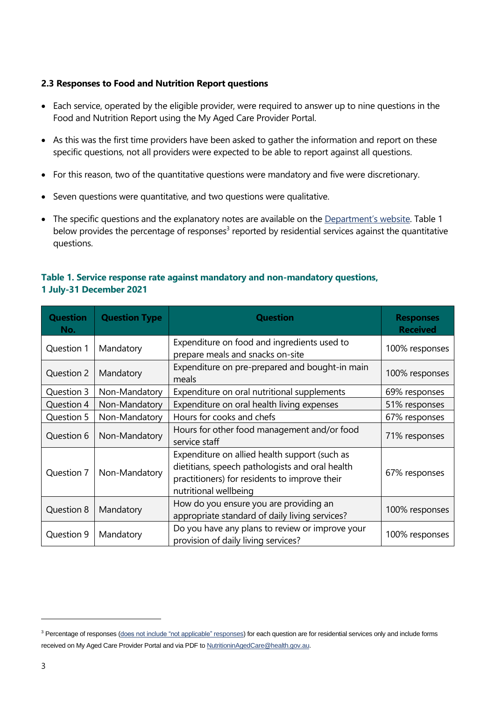#### **2.3 Responses to Food and Nutrition Report questions**

- Each service, operated by the eligible provider, were required to answer up to nine questions in the Food and Nutrition Report using the My Aged Care Provider Portal.
- As this was the first time providers have been asked to gather the information and report on these specific questions, not all providers were expected to be able to report against all questions.
- For this reason, two of the quantitative questions were mandatory and five were discretionary.
- Seven questions were quantitative, and two questions were qualitative.
- The specific questions and the explanatory notes are available on the [Department](https://www.health.gov.au/resources/publications/2021-basic-daily-fee-supplement-reporting-requirements)'s website. Table 1 below provides the percentage of responses<sup>3</sup> reported by residential services against the quantitative questions.

### **Table 1. Service response rate against mandatory and non-mandatory questions, 1 July-31 December 2021**

| <b>Question</b><br>No. | <b>Question Type</b> | <b>Question</b>                                                                                                                                                            | <b>Responses</b><br><b>Received</b> |
|------------------------|----------------------|----------------------------------------------------------------------------------------------------------------------------------------------------------------------------|-------------------------------------|
| Question 1             | Mandatory            | Expenditure on food and ingredients used to<br>prepare meals and snacks on-site                                                                                            | 100% responses                      |
| Question 2             | Mandatory            | Expenditure on pre-prepared and bought-in main<br>meals                                                                                                                    | 100% responses                      |
| Question 3             | Non-Mandatory        | Expenditure on oral nutritional supplements                                                                                                                                | 69% responses                       |
| Question 4             | Non-Mandatory        | Expenditure on oral health living expenses                                                                                                                                 | 51% responses                       |
| Question 5             | Non-Mandatory        | Hours for cooks and chefs                                                                                                                                                  | 67% responses                       |
| Question 6             | Non-Mandatory        | Hours for other food management and/or food<br>service staff                                                                                                               | 71% responses                       |
| Question 7             | Non-Mandatory        | Expenditure on allied health support (such as<br>dietitians, speech pathologists and oral health<br>practitioners) for residents to improve their<br>nutritional wellbeing | 67% responses                       |
| Question 8             | Mandatory            | How do you ensure you are providing an<br>appropriate standard of daily living services?                                                                                   | 100% responses                      |
| Question 9             | Mandatory            | Do you have any plans to review or improve your<br>provision of daily living services?                                                                                     | 100% responses                      |

<sup>&</sup>lt;sup>3</sup> Percentage of responses (does not include "not applicable" responses) for each question are for residential services only and include forms received on My Aged Care Provider Portal and via PDF t[o NutritioninAgedCare@health.gov.au.](mailto:NutritioninAgedCare@health.gov.au)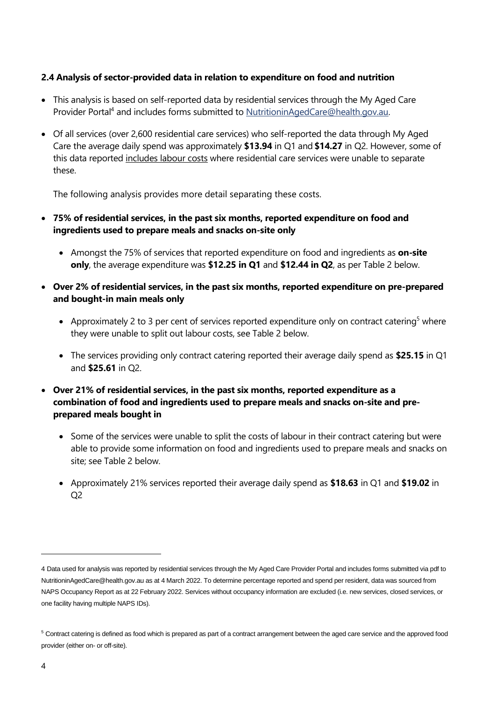#### **2.4 Analysis of sector-provided data in relation to expenditure on food and nutrition**

- This analysis is based on self-reported data by residential services through the My Aged Care Provider Portal<sup>4</sup> and includes forms submitted t[o NutritioninAgedCare@health.gov.au.](mailto:NutritioninAgedCare@health.gov.au)
- Of all services (over 2,600 residential care services) who self-reported the data through My Aged Care the average daily spend was approximately **\$13.94** in Q1 and **\$14.27** in Q2. However, some of this data reported includes labour costs where residential care services were unable to separate these.

The following analysis provides more detail separating these costs.

- **75% of residential services, in the past six months, reported expenditure on food and ingredients used to prepare meals and snacks on-site only**
	- Amongst the 75% of services that reported expenditure on food and ingredients as **on-site only**, the average expenditure was **\$12.25 in Q1** and **\$12.44 in Q2**, as per Table 2 below.
- **Over 2% of residential services, in the past six months, reported expenditure on pre-prepared and bought-in main meals only**
	- Approximately 2 to 3 per cent of services reported expenditure only on contract catering<sup>5</sup> where they were unable to split out labour costs, see Table 2 below.
	- The services providing only contract catering reported their average daily spend as **\$25.15** in Q1 and **\$25.61** in Q2.
- **Over 21% of residential services, in the past six months, reported expenditure as a combination of food and ingredients used to prepare meals and snacks on-site and preprepared meals bought in** 
	- Some of the services were unable to split the costs of labour in their contract catering but were able to provide some information on food and ingredients used to prepare meals and snacks on site; see Table 2 below.
	- Approximately 21% services reported their average daily spend as **\$18.63** in Q1 and **\$19.02** in Q2

<sup>4</sup> Data used for analysis was reported by residential services through the My Aged Care Provider Portal and includes forms submitted via pdf to [NutritioninAgedCare@health.gov.au](mailto:NutritioninAgedCare@health.gov.au) as at 4 March 2022. To determine percentage reported and spend per resident, data was sourced from NAPS Occupancy Report as at 22 February 2022. Services without occupancy information are excluded (i.e. new services, closed services, or one facility having multiple NAPS IDs).

<sup>&</sup>lt;sup>5</sup> Contract catering is defined as food which is prepared as part of a contract arrangement between the aged care service and the approved food provider (either on- or off-site).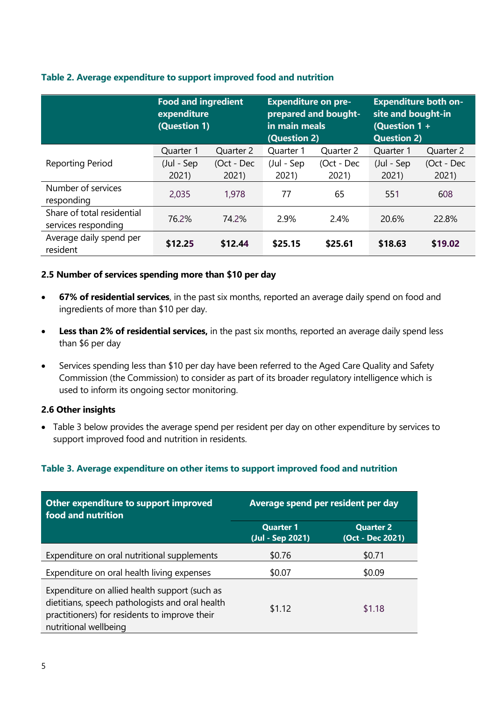|                                                   | <b>Food and ingredient</b><br>expenditure<br>(Question 1) |            | <b>Expenditure on pre-</b><br>prepared and bought-<br>in main meals<br>(Question 2) |            | <b>Expenditure both on-</b><br>site and bought-in<br>(Question 1 +<br><b>Question 2)</b> |            |
|---------------------------------------------------|-----------------------------------------------------------|------------|-------------------------------------------------------------------------------------|------------|------------------------------------------------------------------------------------------|------------|
|                                                   | Quarter 1                                                 | Quarter 2  | Quarter 1                                                                           | Quarter 2  | Quarter 1                                                                                | Quarter 2  |
| <b>Reporting Period</b>                           | (Jul - Sep                                                | (Oct - Dec | (Jul - Sep                                                                          | (Oct - Dec | (Jul - Sep                                                                               | (Oct - Dec |
|                                                   | 2021                                                      | 2021       | 2021)                                                                               | 2021       | 2021                                                                                     | 2021       |
| Number of services<br>responding                  | 2,035                                                     | 1,978      | 77                                                                                  | 65         | 551                                                                                      | 608        |
| Share of total residential<br>services responding | 76.2%                                                     | 74.2%      | 2.9%                                                                                | 2.4%       | 20.6%                                                                                    | 22.8%      |
| Average daily spend per<br>resident               | \$12.25                                                   | \$12.44    | \$25.15                                                                             | \$25.61    | \$18.63                                                                                  | \$19.02    |

#### **Table 2. Average expenditure to support improved food and nutrition**

#### **2.5 Number of services spending more than \$10 per day**

- **67% of residential services**, in the past six months, reported an average daily spend on food and ingredients of more than \$10 per day.
- **Less than 2% of residential services,** in the past six months, reported an average daily spend less than \$6 per day
- Services spending less than \$10 per day have been referred to the Aged Care Quality and Safety Commission (the Commission) to consider as part of its broader regulatory intelligence which is used to inform its ongoing sector monitoring.

#### **2.6 Other insights**

• Table 3 below provides the average spend per resident per day on other expenditure by services to support improved food and nutrition in residents.

#### **Table 3. Average expenditure on other items to support improved food and nutrition**

| Other expenditure to support improved<br>food and nutrition                                                                                                                | Average spend per resident per day   |                                      |  |  |
|----------------------------------------------------------------------------------------------------------------------------------------------------------------------------|--------------------------------------|--------------------------------------|--|--|
|                                                                                                                                                                            | <b>Quarter 1</b><br>(Jul - Sep 2021) | <b>Quarter 2</b><br>(Oct - Dec 2021) |  |  |
| Expenditure on oral nutritional supplements                                                                                                                                | \$0.76                               | \$0.71                               |  |  |
| Expenditure on oral health living expenses                                                                                                                                 | \$0.07                               | \$0.09                               |  |  |
| Expenditure on allied health support (such as<br>dietitians, speech pathologists and oral health<br>practitioners) for residents to improve their<br>nutritional wellbeing | \$1.12                               | \$1.18                               |  |  |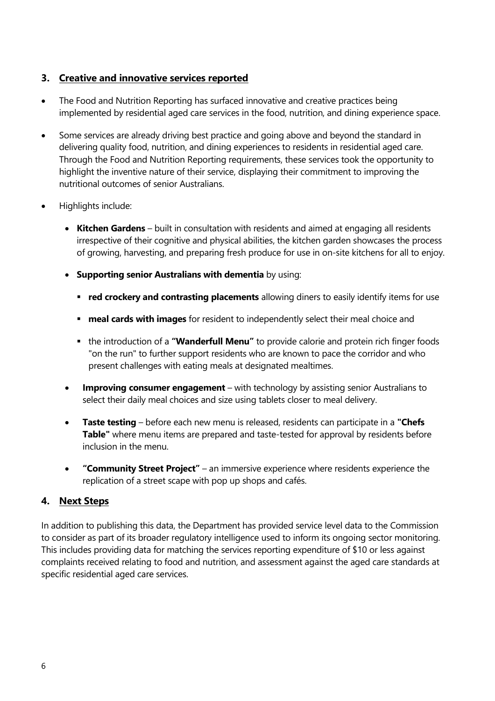# **3. Creative and innovative services reported**

- The Food and Nutrition Reporting has surfaced innovative and creative practices being implemented by residential aged care services in the food, nutrition, and dining experience space.
- Some services are already driving best practice and going above and beyond the standard in delivering quality food, nutrition, and dining experiences to residents in residential aged care. Through the Food and Nutrition Reporting requirements, these services took the opportunity to highlight the inventive nature of their service, displaying their commitment to improving the nutritional outcomes of senior Australians.
- Highlights include:
	- **Kitchen Gardens** built in consultation with residents and aimed at engaging all residents irrespective of their cognitive and physical abilities, the kitchen garden showcases the process of growing, harvesting, and preparing fresh produce for use in on-site kitchens for all to enjoy.
	- **Supporting senior Australians with dementia** by using:
		- **red crockery and contrasting placements** allowing diners to easily identify items for use
		- **meal cards with images** for resident to independently select their meal choice and
		- the introduction of a "**Wanderfull Menu**" to provide calorie and protein rich finger foods "on the run" to further support residents who are known to pace the corridor and who present challenges with eating meals at designated mealtimes.
	- **Improving consumer engagement** with technology by assisting senior Australians to select their daily meal choices and size using tablets closer to meal delivery.
	- **Taste testing** before each new menu is released, residents can participate in a **"Chefs Table"** where menu items are prepared and taste-tested for approval by residents before inclusion in the menu.
	- **"Community Street Project"** an immersive experience where residents experience the replication of a street scape with pop up shops and cafés.

# **4. Next Steps**

In addition to publishing this data, the Department has provided service level data to the Commission to consider as part of its broader regulatory intelligence used to inform its ongoing sector monitoring. This includes providing data for matching the services reporting expenditure of \$10 or less against complaints received relating to food and nutrition, and assessment against the aged care standards at specific residential aged care services.